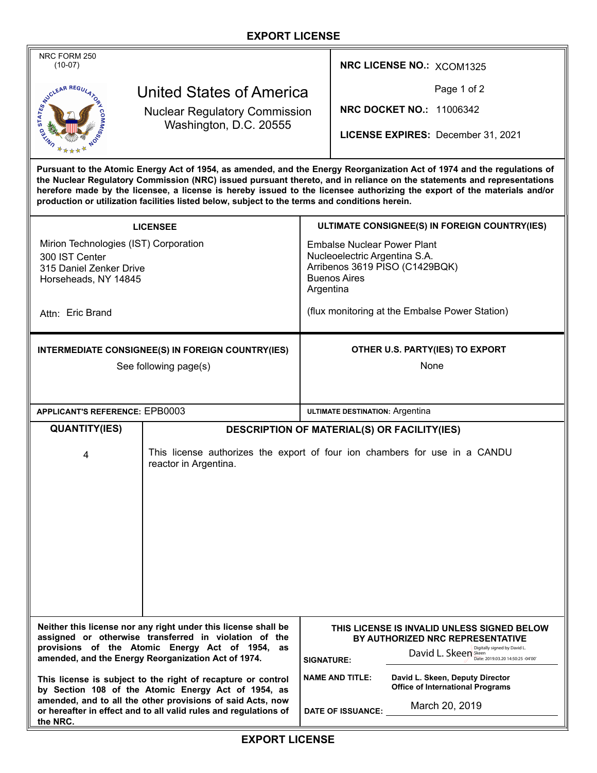## **EXPORT LICENSE**

| NRC FORM 250<br>$(10-07)$                                                                                                                                                                                                                                                                                                                                                                                                                                                       |                                                                                                     |                                                                 | NRC LICENSE NO.: XCOM1325                                                                                                            |
|---------------------------------------------------------------------------------------------------------------------------------------------------------------------------------------------------------------------------------------------------------------------------------------------------------------------------------------------------------------------------------------------------------------------------------------------------------------------------------|-----------------------------------------------------------------------------------------------------|-----------------------------------------------------------------|--------------------------------------------------------------------------------------------------------------------------------------|
| United States of America                                                                                                                                                                                                                                                                                                                                                                                                                                                        |                                                                                                     |                                                                 | Page 1 of 2                                                                                                                          |
| <b>ANTENDRAR REGU</b><br><b>Nuclear Regulatory Commission</b><br>Washington, D.C. 20555                                                                                                                                                                                                                                                                                                                                                                                         |                                                                                                     |                                                                 | <b>NRC DOCKET NO.: 11006342</b>                                                                                                      |
|                                                                                                                                                                                                                                                                                                                                                                                                                                                                                 |                                                                                                     |                                                                 | LICENSE EXPIRES: December 31, 2021                                                                                                   |
| Pursuant to the Atomic Energy Act of 1954, as amended, and the Energy Reorganization Act of 1974 and the regulations of<br>the Nuclear Regulatory Commission (NRC) issued pursuant thereto, and in reliance on the statements and representations<br>herefore made by the licensee, a license is hereby issued to the licensee authorizing the export of the materials and/or<br>production or utilization facilities listed below, subject to the terms and conditions herein. |                                                                                                     |                                                                 |                                                                                                                                      |
| <b>LICENSEE</b>                                                                                                                                                                                                                                                                                                                                                                                                                                                                 |                                                                                                     | ULTIMATE CONSIGNEE(S) IN FOREIGN COUNTRY(IES)                   |                                                                                                                                      |
| Mirion Technologies (IST) Corporation                                                                                                                                                                                                                                                                                                                                                                                                                                           |                                                                                                     | <b>Embalse Nuclear Power Plant</b>                              |                                                                                                                                      |
| 300 IST Center<br>315 Daniel Zenker Drive                                                                                                                                                                                                                                                                                                                                                                                                                                       |                                                                                                     | Nucleoelectric Argentina S.A.<br>Arribenos 3619 PISO (C1429BQK) |                                                                                                                                      |
| Horseheads, NY 14845                                                                                                                                                                                                                                                                                                                                                                                                                                                            |                                                                                                     | <b>Buenos Aires</b><br>Argentina                                |                                                                                                                                      |
| Attn: Eric Brand                                                                                                                                                                                                                                                                                                                                                                                                                                                                |                                                                                                     | (flux monitoring at the Embalse Power Station)                  |                                                                                                                                      |
| INTERMEDIATE CONSIGNEE(S) IN FOREIGN COUNTRY(IES)                                                                                                                                                                                                                                                                                                                                                                                                                               |                                                                                                     | OTHER U.S. PARTY(IES) TO EXPORT                                 |                                                                                                                                      |
| See following page(s)                                                                                                                                                                                                                                                                                                                                                                                                                                                           |                                                                                                     | None                                                            |                                                                                                                                      |
|                                                                                                                                                                                                                                                                                                                                                                                                                                                                                 |                                                                                                     |                                                                 |                                                                                                                                      |
| <b>APPLICANT'S REFERENCE: EPB0003</b>                                                                                                                                                                                                                                                                                                                                                                                                                                           |                                                                                                     | ULTIMATE DESTINATION: Argentina                                 |                                                                                                                                      |
| <b>QUANTITY(IES)</b>                                                                                                                                                                                                                                                                                                                                                                                                                                                            | DESCRIPTION OF MATERIAL(S) OR FACILITY(IES)                                                         |                                                                 |                                                                                                                                      |
| 4                                                                                                                                                                                                                                                                                                                                                                                                                                                                               | This license authorizes the export of four ion chambers for use in a CANDU<br>reactor in Argentina. |                                                                 |                                                                                                                                      |
|                                                                                                                                                                                                                                                                                                                                                                                                                                                                                 |                                                                                                     |                                                                 |                                                                                                                                      |
|                                                                                                                                                                                                                                                                                                                                                                                                                                                                                 |                                                                                                     |                                                                 |                                                                                                                                      |
|                                                                                                                                                                                                                                                                                                                                                                                                                                                                                 |                                                                                                     |                                                                 |                                                                                                                                      |
|                                                                                                                                                                                                                                                                                                                                                                                                                                                                                 |                                                                                                     |                                                                 |                                                                                                                                      |
|                                                                                                                                                                                                                                                                                                                                                                                                                                                                                 |                                                                                                     |                                                                 |                                                                                                                                      |
|                                                                                                                                                                                                                                                                                                                                                                                                                                                                                 |                                                                                                     |                                                                 |                                                                                                                                      |
| Neither this license nor any right under this license shall be<br>THIS LICENSE IS INVALID UNLESS SIGNED BELOW                                                                                                                                                                                                                                                                                                                                                                   |                                                                                                     |                                                                 |                                                                                                                                      |
| assigned or otherwise transferred in violation of the<br>provisions of the Atomic Energy Act of 1954,<br>as<br>amended, and the Energy Reorganization Act of 1974.                                                                                                                                                                                                                                                                                                              |                                                                                                     | <b>SIGNATURE:</b>                                               | <b>BY AUTHORIZED NRC REPRESENTATIVE</b><br>Digitally signed by David L.<br>David L. Skeen Skeen<br>Date: 2019.03.20 14:50:25 -04'00' |
| This license is subject to the right of recapture or control<br>by Section 108 of the Atomic Energy Act of 1954, as<br>amended, and to all the other provisions of said Acts, now<br>or hereafter in effect and to all valid rules and regulations of<br>the NRC.                                                                                                                                                                                                               |                                                                                                     |                                                                 | <b>NAME AND TITLE:</b><br>David L. Skeen, Deputy Director                                                                            |
|                                                                                                                                                                                                                                                                                                                                                                                                                                                                                 |                                                                                                     |                                                                 | <b>Office of International Programs</b>                                                                                              |
|                                                                                                                                                                                                                                                                                                                                                                                                                                                                                 |                                                                                                     |                                                                 | March 20, 2019<br><b>DATE OF ISSUANCE:</b>                                                                                           |